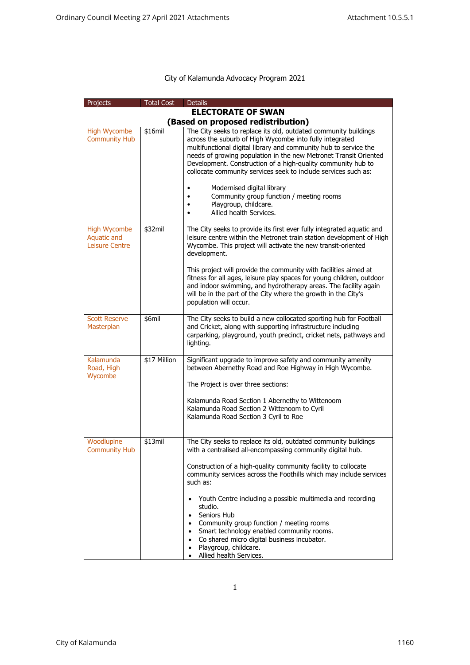## City of Kalamunda Advocacy Program 2021

| Projects                                             | <b>Total Cost</b> | <b>Details</b>                                                                                                                                                                                                                                                                                                                                                                                                                                                                                                                                                                                               |  |  |  |
|------------------------------------------------------|-------------------|--------------------------------------------------------------------------------------------------------------------------------------------------------------------------------------------------------------------------------------------------------------------------------------------------------------------------------------------------------------------------------------------------------------------------------------------------------------------------------------------------------------------------------------------------------------------------------------------------------------|--|--|--|
| <b>ELECTORATE OF SWAN</b>                            |                   |                                                                                                                                                                                                                                                                                                                                                                                                                                                                                                                                                                                                              |  |  |  |
|                                                      |                   | (Based on proposed redistribution)                                                                                                                                                                                                                                                                                                                                                                                                                                                                                                                                                                           |  |  |  |
| <b>High Wycombe</b><br><b>Community Hub</b>          | \$16mil           | The City seeks to replace its old, outdated community buildings<br>across the suburb of High Wycombe into fully integrated<br>multifunctional digital library and community hub to service the<br>needs of growing population in the new Metronet Transit Oriented<br>Development. Construction of a high-quality community hub to<br>collocate community services seek to include services such as:<br>Modernised digital library<br>Community group function / meeting rooms<br>Playgroup, childcare.<br>Allied health Services.                                                                           |  |  |  |
| <b>High Wycombe</b><br>Aquatic and<br>Leisure Centre | \$32mil           | The City seeks to provide its first ever fully integrated aquatic and<br>leisure centre within the Metronet train station development of High<br>Wycombe. This project will activate the new transit-oriented<br>development.<br>This project will provide the community with facilities aimed at<br>fitness for all ages, leisure play spaces for young children, outdoor<br>and indoor swimming, and hydrotherapy areas. The facility again<br>will be in the part of the City where the growth in the City's                                                                                              |  |  |  |
| <b>Scott Reserve</b><br>Masterplan                   | \$6mil            | population will occur.<br>The City seeks to build a new collocated sporting hub for Football<br>and Cricket, along with supporting infrastructure including<br>carparking, playground, youth precinct, cricket nets, pathways and<br>lighting.                                                                                                                                                                                                                                                                                                                                                               |  |  |  |
| Kalamunda<br>Road, High<br>Wycombe                   | \$17 Million      | Significant upgrade to improve safety and community amenity<br>between Abernethy Road and Roe Highway in High Wycombe.<br>The Project is over three sections:<br>Kalamunda Road Section 1 Abernethy to Wittenoom<br>Kalamunda Road Section 2 Wittenoom to Cyril<br>Kalamunda Road Section 3 Cyril to Roe                                                                                                                                                                                                                                                                                                     |  |  |  |
|                                                      |                   |                                                                                                                                                                                                                                                                                                                                                                                                                                                                                                                                                                                                              |  |  |  |
| Woodlupine<br><b>Community Hub</b>                   | \$13mil           | The City seeks to replace its old, outdated community buildings<br>with a centralised all-encompassing community digital hub.<br>Construction of a high-quality community facility to collocate<br>community services across the Foothills which may include services<br>such as:<br>Youth Centre including a possible multimedia and recording<br>studio.<br>Seniors Hub<br>$\bullet$<br>Community group function / meeting rooms<br>Smart technology enabled community rooms.<br>$\bullet$<br>Co shared micro digital business incubator.<br>$\bullet$<br>Playgroup, childcare.<br>Allied health Services. |  |  |  |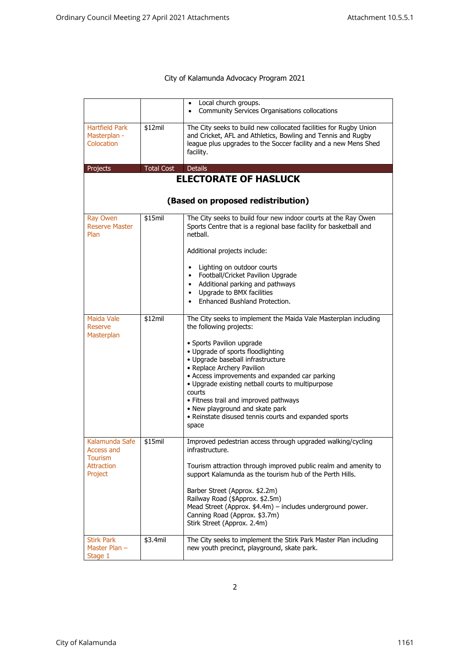## City of Kalamunda Advocacy Program 2021

|                                                                                |                   | Local church groups.<br>Community Services Organisations collocations                                                                                                                                                                                                                                                                                                                                                                                                                          |  |  |
|--------------------------------------------------------------------------------|-------------------|------------------------------------------------------------------------------------------------------------------------------------------------------------------------------------------------------------------------------------------------------------------------------------------------------------------------------------------------------------------------------------------------------------------------------------------------------------------------------------------------|--|--|
| <b>Hartfield Park</b><br>Masterplan -<br>Colocation                            | \$12mil           | The City seeks to build new collocated facilities for Rugby Union<br>and Cricket, AFL and Athletics, Bowling and Tennis and Rugby<br>league plus upgrades to the Soccer facility and a new Mens Shed<br>facility.                                                                                                                                                                                                                                                                              |  |  |
| Projects                                                                       | <b>Total Cost</b> | <b>Details</b>                                                                                                                                                                                                                                                                                                                                                                                                                                                                                 |  |  |
| <b>ELECTORATE OF HASLUCK</b><br>(Based on proposed redistribution)             |                   |                                                                                                                                                                                                                                                                                                                                                                                                                                                                                                |  |  |
| Ray Owen<br><b>Reserve Master</b><br>Plan                                      | \$15mil           | The City seeks to build four new indoor courts at the Ray Owen<br>Sports Centre that is a regional base facility for basketball and<br>netball.<br>Additional projects include:<br>Lighting on outdoor courts<br>Football/Cricket Pavilion Upgrade<br>$\bullet$<br>Additional parking and pathways<br>$\bullet$<br>Upgrade to BMX facilities<br>$\bullet$<br>Enhanced Bushland Protection.                                                                                                     |  |  |
| <b>Maida Vale</b><br>Reserve<br>Masterplan                                     | \$12mil           | The City seeks to implement the Maida Vale Masterplan including<br>the following projects:<br>• Sports Pavilion upgrade<br>• Upgrade of sports floodlighting<br>· Upgrade baseball infrastructure<br>• Replace Archery Pavilion<br>• Access improvements and expanded car parking<br>• Upgrade existing netball courts to multipurpose<br>courts<br>• Fitness trail and improved pathways<br>• New playground and skate park<br>• Reinstate disused tennis courts and expanded sports<br>space |  |  |
| Kalamunda Safe<br>Access and<br><b>Tourism</b><br><b>Attraction</b><br>Project | \$15mil           | Improved pedestrian access through upgraded walking/cycling<br>infrastructure.<br>Tourism attraction through improved public realm and amenity to<br>support Kalamunda as the tourism hub of the Perth Hills.<br>Barber Street (Approx. \$2.2m)<br>Railway Road (\$Approx. \$2.5m)<br>Mead Street (Approx. \$4.4m) - includes underground power.<br>Canning Road (Approx. \$3.7m)<br>Stirk Street (Approx. 2.4m)                                                                               |  |  |
| <b>Stirk Park</b><br>Master Plan $-$<br>Stage 1                                | \$3.4mil          | The City seeks to implement the Stirk Park Master Plan including<br>new youth precinct, playground, skate park.                                                                                                                                                                                                                                                                                                                                                                                |  |  |